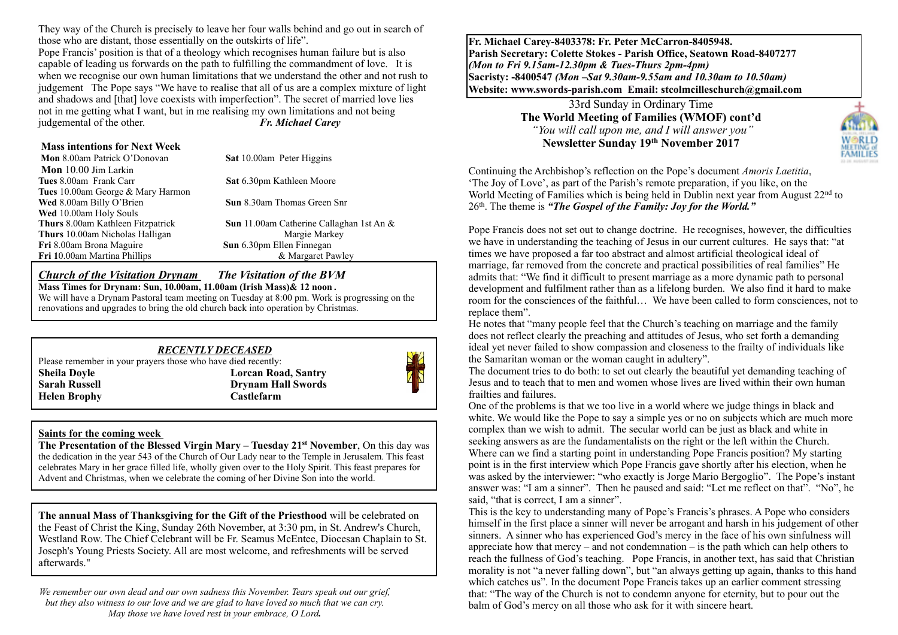They way of the Church is precisely to leave her four walls behind and go out in search of those who are distant, those essentially on the outskirts of life".

Pope Francis' position is that of a theology which recognises human failure but is also capable of leading us forwards on the path to fulfilling the commandment of love. It is when we recognise our own human limitations that we understand the other and not rush to judgement The Pope says "We have to realise that all of us are a complex mixture of light and shadows and [that] love coexists with imperfection". The secret of married love lies not in me getting what I want, but in me realising my own limitations and not being judgemental of the other. *Fr. Michael Carey*

#### **Mass intentions for Next Week**

| Mon 8.00am Patrick O'Donovan             | <b>Sat 10.00am Peter Higgins</b>                   |
|------------------------------------------|----------------------------------------------------|
| Mon 10.00 Jim Larkin                     |                                                    |
| Tues 8.00am Frank Carr                   | Sat 6.30pm Kathleen Moore                          |
| <b>Tues</b> 10.00am George & Mary Harmon |                                                    |
| Wed 8.00am Billy O'Brien                 | <b>Sun</b> 8.30am Thomas Green Snr                 |
| Wed 10.00am Holy Souls                   |                                                    |
| <b>Thurs</b> 8.00am Kathleen Fitzpatrick | <b>Sun</b> 11.00am Catherine Callaghan 1st An $\&$ |
| Thurs 10.00am Nicholas Halligan          | Margie Markey                                      |
| Fri 8.00am Brona Maguire                 | Sun 6.30pm Ellen Finnegan                          |
| Fri 10.00am Martina Phillips             | & Margaret Pawley                                  |
|                                          |                                                    |

#### *Church of the Visitation Drynam**The Visitation of the BVM*

**Mass Times for Drynam: Sun, 10.00am, 11.00am (Irish Mass)& 12 noon** *.*

We will have a Drynam Pastoral team meeting on Tuesday at 8:00 pm. Work is progressing on the renovations and upgrades to bring the old church back into operation by Christmas.

#### *RECENTLY DECEASED*

Please remember in your prayers those who have died recently: **Sheila Doyle Lorcan Road, Santry Sarah Russell Drynam Hall Swords Helen Brophy Castlefarm**



#### **Saints for the coming week**

**The Presentation of the Blessed Virgin Mary – Tuesday 21st November**, On this day was the dedication in the year 543 of the Church of Our Lady near to the Temple in Jerusalem. This feast celebrates Mary in her grace filled life, wholly given over to the Holy Spirit. This feast prepares for Advent and Christmas, when we celebrate the coming of her Divine Son into the world.

**The annual Mass of Thanksgiving for the Gift of the Priesthood** will be celebrated on the Feast of Christ the King, Sunday 26th November, at 3:30 pm, in St. Andrew's Church, Westland Row. The Chief Celebrant will be Fr. Seamus McEntee, Diocesan Chaplain to St. Joseph's Young Priests Society. All are most welcome, and refreshments will be served afterwards."

*We remember our own dead and our own sadness this November. Tears speak out our grief, but they also witness to our love and we are glad to have loved so much that we can cry. May those we have loved rest in your embrace, O Lord.* 

**Fr. Michael Carey-8403378: Fr. Peter McCarron-8405948. Parish Secretary: Colette Stokes - Parish Office, Seatown Road-8407277**  *(Mon to Fri 9.15am-12.30pm & Tues-Thurs 2pm-4pm)*  **Sacristy: -8400547** *(Mon –Sat 9.30am-9.55am and 10.30am to 10.50am)* **Website: [www.swords-parish.com Email:](http://www.swords-parish.com%20%20email) stcolmcilleschurch@gmail.com**

> 33rd Sunday in Ordinary Time **The World Meeting of Families (WMOF) cont'd**   *"You will call upon me, and I will answer you"*  **Newsletter Sunday 19th November 2017**



Continuing the Archbishop's reflection on the Pope's document *Amoris Laetitia*, 'The Joy of Love', as part of the Parish's remote preparation, if you like, on the World Meeting of Families which is being held in Dublin next year from August 22<sup>nd</sup> to 26th. The theme is *"The Gospel of the Family: Joy for the World."*

Pope Francis does not set out to change doctrine. He recognises, however, the difficulties we have in understanding the teaching of Jesus in our current cultures. He says that: "at times we have proposed a far too abstract and almost artificial theological ideal of marriage, far removed from the concrete and practical possibilities of real families" He admits that: "We find it difficult to present marriage as a more dynamic path to personal development and fulfilment rather than as a lifelong burden. We also find it hard to make room for the consciences of the faithful… We have been called to form consciences, not to replace them".

He notes that "many people feel that the Church's teaching on marriage and the family does not reflect clearly the preaching and attitudes of Jesus, who set forth a demanding ideal yet never failed to show compassion and closeness to the frailty of individuals like the Samaritan woman or the woman caught in adultery".

The document tries to do both: to set out clearly the beautiful yet demanding teaching of Jesus and to teach that to men and women whose lives are lived within their own human frailties and failures.

One of the problems is that we too live in a world where we judge things in black and white. We would like the Pope to say a simple yes or no on subjects which are much more complex than we wish to admit. The secular world can be just as black and white in seeking answers as are the fundamentalists on the right or the left within the Church. Where can we find a starting point in understanding Pope Francis position? My starting point is in the first interview which Pope Francis gave shortly after his election, when he was asked by the interviewer: "who exactly is Jorge Mario Bergoglio". The Pope's instant answer was: "I am a sinner". Then he paused and said: "Let me reflect on that". "No", he said, "that is correct, I am a sinner".

This is the key to understanding many of Pope's Francis's phrases. A Pope who considers himself in the first place a sinner will never be arrogant and harsh in his judgement of other sinners. A sinner who has experienced God's mercy in the face of his own sinfulness will appreciate how that mercy – and not condemnation – is the path which can help others to reach the fullness of God's teaching. Pope Francis, in another text, has said that Christian morality is not "a never falling down", but "an always getting up again, thanks to this hand which catches us". In the document Pope Francis takes up an earlier comment stressing that: "The way of the Church is not to condemn anyone for eternity, but to pour out the balm of God's mercy on all those who ask for it with sincere heart.